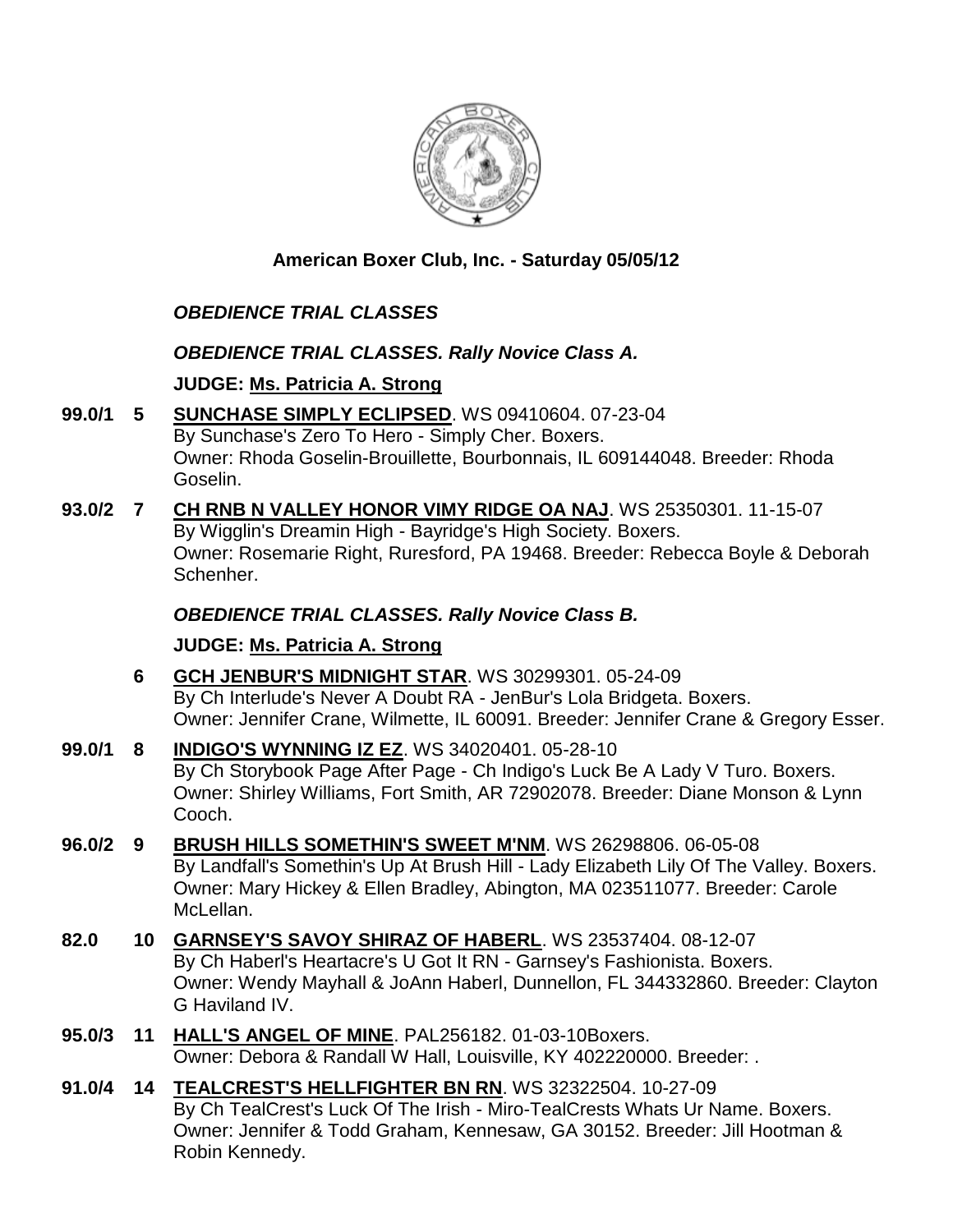

### **American Boxer Club, Inc. - Saturday 05/05/12**

# *OBEDIENCE TRIAL CLASSES*

#### *OBEDIENCE TRIAL CLASSES. Rally Novice Class A.*

### **JUDGE: [Ms. Patricia A. Strong](http://www.infodog.com/judges/19096/juddat.htm)**

- **99.0/1 5 [SUNCHASE SIMPLY ECLIPSED](http://www.infodog.com/files/bdogrsl1.prg;makc=WS%2009410604;mdog=Sunchase_Simply_Eclipsed;wins=all)**. WS 09410604. 07-23-04 By Sunchase's Zero To Hero - Simply Cher. Boxers. Owner: Rhoda Goselin-Brouillette, Bourbonnais, IL 609144048. Breeder: Rhoda Goselin.
- **93.0/2 7 [CH RNB N VALLEY HONOR VIMY RIDGE OA NAJ](http://www.infodog.com/files/bdogrsl1.prg;makc=WS%2025350301;mdog=Ch_RNB_N_Valley_Honor_Vimy_Ridge_OA_NAJ;wins=all)**. WS 25350301. 11-15-07 By Wigglin's Dreamin High - Bayridge's High Society. Boxers. Owner: Rosemarie Right, Ruresford, PA 19468. Breeder: Rebecca Boyle & Deborah Schenher.

### *OBEDIENCE TRIAL CLASSES. Rally Novice Class B.*

### **JUDGE: [Ms. Patricia A. Strong](http://www.infodog.com/judges/19096/juddat.htm)**

- **6 [GCH JENBUR'S MIDNIGHT STAR](http://www.infodog.com/files/bdogrsl1.prg;makc=WS%2030299301;mdog=GCH_JenBur_s_Midnight_Star;wins=all)**. WS 30299301. 05-24-09 By Ch Interlude's Never A Doubt RA - JenBur's Lola Bridgeta. Boxers. Owner: Jennifer Crane, Wilmette, IL 60091. Breeder: Jennifer Crane & Gregory Esser.
- **99.0/1 8 [INDIGO'S WYNNING IZ EZ](http://www.infodog.com/files/bdogrsl1.prg;makc=WS%2034020401;mdog=Indigo_s_Wynning_Iz_Ez;wins=all)**. WS 34020401. 05-28-10 By Ch Storybook Page After Page - Ch Indigo's Luck Be A Lady V Turo. Boxers. Owner: Shirley Williams, Fort Smith, AR 72902078. Breeder: Diane Monson & Lynn Cooch.
- **96.0/2 9 [BRUSH HILLS SOMETHIN'S SWEET M'NM](http://www.infodog.com/files/bdogrsl1.prg;makc=WS%2026298806;mdog=Brush_Hills_Somethin_s_Sweet_M_NM;wins=all)**. WS 26298806. 06-05-08 By Landfall's Somethin's Up At Brush Hill - Lady Elizabeth Lily Of The Valley. Boxers. Owner: Mary Hickey & Ellen Bradley, Abington, MA 023511077. Breeder: Carole McLellan.
- **82.0 10 [GARNSEY'S SAVOY SHIRAZ OF HABERL](http://www.infodog.com/files/bdogrsl1.prg;makc=WS%2023537404;mdog=Garnsey_s_Savoy_Shiraz_Of_Haberl;wins=all)**. WS 23537404. 08-12-07 By Ch Haberl's Heartacre's U Got It RN - Garnsey's Fashionista. Boxers. Owner: Wendy Mayhall & JoAnn Haberl, Dunnellon, FL 344332860. Breeder: Clayton G Haviland IV.
- **95.0/3 11 [HALL'S ANGEL OF MINE](http://www.infodog.com/files/bdogrsl1.prg;makc=PAL256182;mdog=Hall_s_Angel_Of_Mine;wins=all)**. PAL256182. 01-03-10Boxers. Owner: Debora & Randall W Hall, Louisville, KY 402220000. Breeder: .
- **91.0/4 14 [TEALCREST'S HELLFIGHTER BN RN](http://www.infodog.com/files/bdogrsl1.prg;makc=WS%2032322504;mdog=TealCrest_s_Hellfighter_BN_RN;wins=all)**. WS 32322504. 10-27-09 By Ch TealCrest's Luck Of The Irish - Miro-TealCrests Whats Ur Name. Boxers. Owner: Jennifer & Todd Graham, Kennesaw, GA 30152. Breeder: Jill Hootman & Robin Kennedy.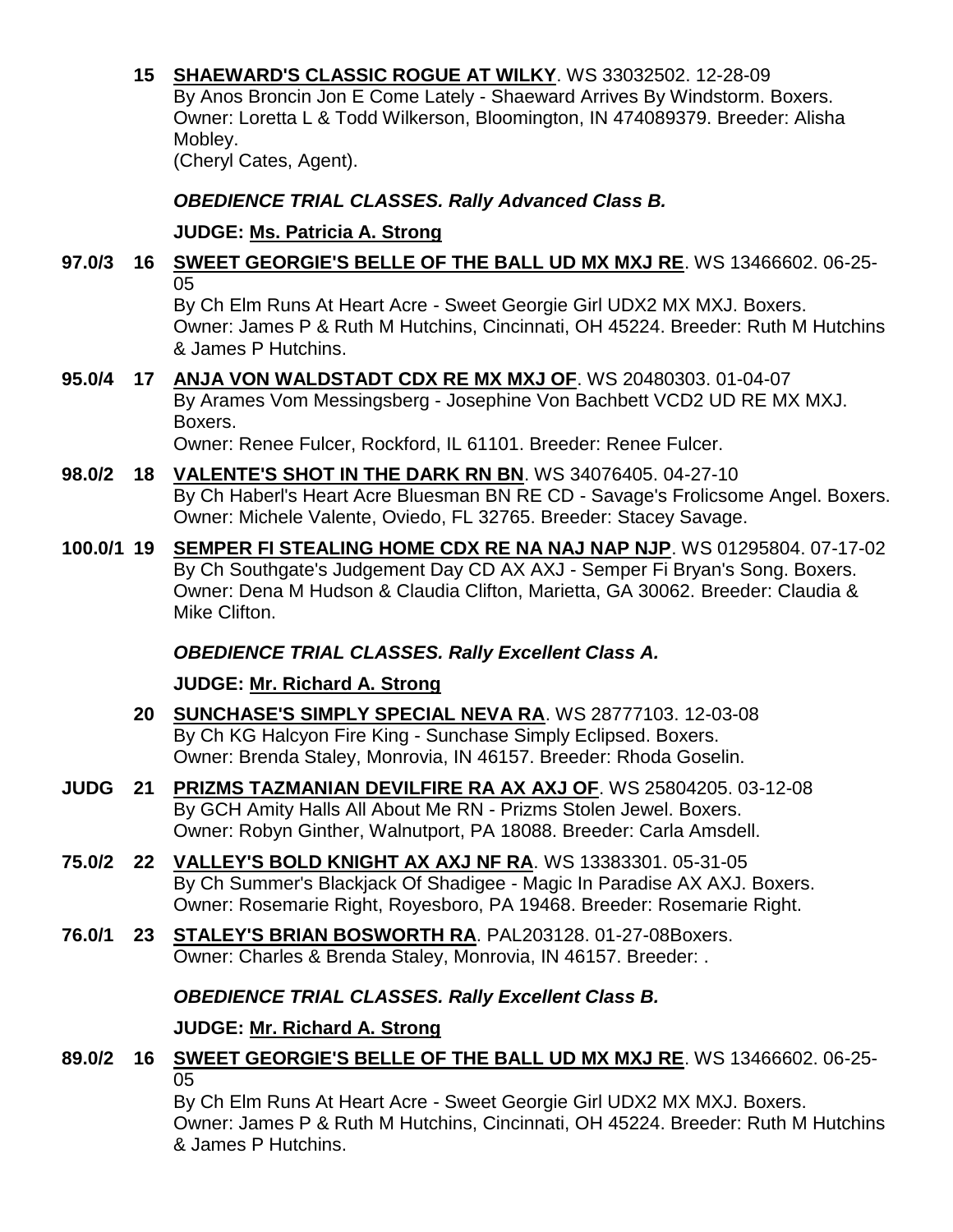**15 [SHAEWARD'S CLASSIC ROGUE AT WILKY](http://www.infodog.com/files/bdogrsl1.prg;makc=WS%2033032502;mdog=Shaeward_s_Classic_Rogue_At_Wilky;wins=all)**. WS 33032502. 12-28-09 By Anos Broncin Jon E Come Lately - Shaeward Arrives By Windstorm. Boxers. Owner: Loretta L & Todd Wilkerson, Bloomington, IN 474089379. Breeder: Alisha Mobley. (Cheryl Cates, Agent).

*OBEDIENCE TRIAL CLASSES. Rally Advanced Class B.*

**JUDGE: [Ms. Patricia A. Strong](http://www.infodog.com/judges/19096/juddat.htm)**

#### **97.0/3 16 [SWEET GEORGIE'S BELLE OF THE BALL UD MX MXJ RE](http://www.infodog.com/files/bdogrsl1.prg;makc=WS%2013466602;mdog=Sweet_Georgie_s_Belle_Of_The_Ball_UD_MX_MXJ_RE;wins=all)**. WS 13466602. 06-25- 05

By Ch Elm Runs At Heart Acre - Sweet Georgie Girl UDX2 MX MXJ. Boxers. Owner: James P & Ruth M Hutchins, Cincinnati, OH 45224. Breeder: Ruth M Hutchins & James P Hutchins.

**95.0/4 17 [ANJA VON WALDSTADT CDX RE MX MXJ OF](http://www.infodog.com/files/bdogrsl1.prg;makc=WS%2020480303;mdog=Anja_Von_Waldstadt_CDX_RE_MX_MXJ_OF;wins=all)**. WS 20480303. 01-04-07 By Arames Vom Messingsberg - Josephine Von Bachbett VCD2 UD RE MX MXJ. Boxers.

Owner: Renee Fulcer, Rockford, IL 61101. Breeder: Renee Fulcer.

- **98.0/2 18 [VALENTE'S SHOT IN THE DARK RN BN](http://www.infodog.com/files/bdogrsl1.prg;makc=WS%2034076405;mdog=Valente_s_Shot_In_The_Dark_RN_BN;wins=all)**. WS 34076405. 04-27-10 By Ch Haberl's Heart Acre Bluesman BN RE CD - Savage's Frolicsome Angel. Boxers. Owner: Michele Valente, Oviedo, FL 32765. Breeder: Stacey Savage.
- **100.0/1 19 [SEMPER FI STEALING HOME CDX RE NA NAJ NAP NJP](http://www.infodog.com/files/bdogrsl1.prg;makc=WS%2001295804;mdog=Semper_Fi_Stealing_Home_CDX_RE_NA_NAJ_NAP_NJP;wins=all)**. WS 01295804. 07-17-02 By Ch Southgate's Judgement Day CD AX AXJ - Semper Fi Bryan's Song. Boxers. Owner: Dena M Hudson & Claudia Clifton, Marietta, GA 30062. Breeder: Claudia & Mike Clifton.

# *OBEDIENCE TRIAL CLASSES. Rally Excellent Class A.*

**JUDGE: [Mr. Richard A. Strong](http://www.infodog.com/judges/2197/juddat.htm)**

- **20 [SUNCHASE'S SIMPLY SPECIAL NEVA RA](http://www.infodog.com/files/bdogrsl1.prg;makc=WS%2028777103;mdog=Sunchase_s_Simply_Special_Neva_RA;wins=all)**. WS 28777103. 12-03-08 By Ch KG Halcyon Fire King - Sunchase Simply Eclipsed. Boxers. Owner: Brenda Staley, Monrovia, IN 46157. Breeder: Rhoda Goselin.
- **JUDG 21 [PRIZMS TAZMANIAN DEVILFIRE RA AX AXJ OF](http://www.infodog.com/files/bdogrsl1.prg;makc=WS%2025804205;mdog=Prizms_Tazmanian_DevilFire_RA_AX_AXJ_OF;wins=all)**. WS 25804205. 03-12-08 By GCH Amity Halls All About Me RN - Prizms Stolen Jewel. Boxers. Owner: Robyn Ginther, Walnutport, PA 18088. Breeder: Carla Amsdell.
- **75.0/2 22 [VALLEY'S BOLD KNIGHT AX AXJ NF RA](http://www.infodog.com/files/bdogrsl1.prg;makc=WS%2013383301;mdog=Valley_s_Bold_Knight_AX_AXJ_NF_RA;wins=all)**. WS 13383301. 05-31-05 By Ch Summer's Blackjack Of Shadigee - Magic In Paradise AX AXJ. Boxers. Owner: Rosemarie Right, Royesboro, PA 19468. Breeder: Rosemarie Right.
- **76.0/1 23 [STALEY'S BRIAN BOSWORTH RA](http://www.infodog.com/files/bdogrsl1.prg;makc=PAL203128;mdog=Staley_s_Brian_Bosworth_RA;wins=all)**. PAL203128. 01-27-08Boxers. Owner: Charles & Brenda Staley, Monrovia, IN 46157. Breeder: .

# *OBEDIENCE TRIAL CLASSES. Rally Excellent Class B.*

# **JUDGE: [Mr. Richard A. Strong](http://www.infodog.com/judges/2197/juddat.htm)**

**89.0/2 16 [SWEET GEORGIE'S BELLE OF THE BALL UD MX MXJ RE](http://www.infodog.com/files/bdogrsl1.prg;makc=WS%2013466602;mdog=Sweet_Georgie_s_Belle_Of_The_Ball_UD_MX_MXJ_RE;wins=all)**. WS 13466602. 06-25- 05

By Ch Elm Runs At Heart Acre - Sweet Georgie Girl UDX2 MX MXJ. Boxers. Owner: James P & Ruth M Hutchins, Cincinnati, OH 45224. Breeder: Ruth M Hutchins & James P Hutchins.